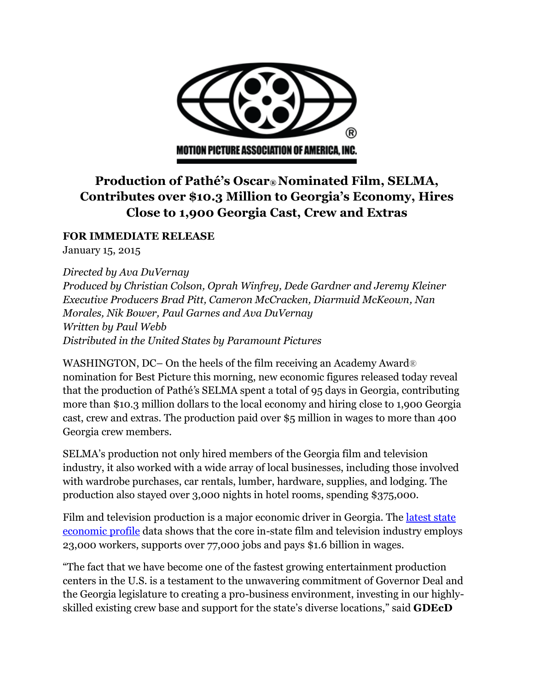

## **Production of Pathé's Oscar® Nominated Film, SELMA, Contributes over \$10.3 Million to Georgia's Economy, Hires Close to 1,900 Georgia Cast, Crew and Extras**

## **FOR IMMEDIATE RELEASE**

January 15, 2015

*Directed by Ava DuVernay Produced by Christian Colson, Oprah Winfrey, Dede Gardner and Jeremy Kleiner Executive Producers Brad Pitt, Cameron McCracken, Diarmuid McKeown, Nan Morales, Nik Bower, Paul Garnes and Ava DuVernay Written by Paul Webb Distributed in the United States by Paramount Pictures* 

WASHINGTON, DC– On the heels of the film receiving an Academy Award® nomination for Best Picture this morning, new economic figures released today reveal that the production of Pathé*'*s SELMA spent a total of 95 days in Georgia, contributing more than \$10.3 million dollars to the local economy and hiring close to 1,900 Georgia cast, crew and extras. The production paid over \$5 million in wages to more than 400 Georgia crew members.

SELMA's production not only hired members of the Georgia film and television industry, it also worked with a wide array of local businesses, including those involved with wardrobe purchases, car rentals, lumber, hardware, supplies, and lodging. The production also stayed over 3,000 nights in hotel rooms, spending \$375,000.

Film and television production is a major economic driver in Georgia. The latest state [economic profile](http://www.mpaa.org/creating-jobs/) data shows that the core in-state film and television industry employs 23,000 workers, supports over 77,000 jobs and pays \$1.6 billion in wages.

"The fact that we have become one of the fastest growing entertainment production centers in the U.S. is a testament to the unwavering commitment of Governor Deal and the Georgia legislature to creating a pro-business environment, investing in our highlyskilled existing crew base and support for the state's diverse locations," said **GDEcD**